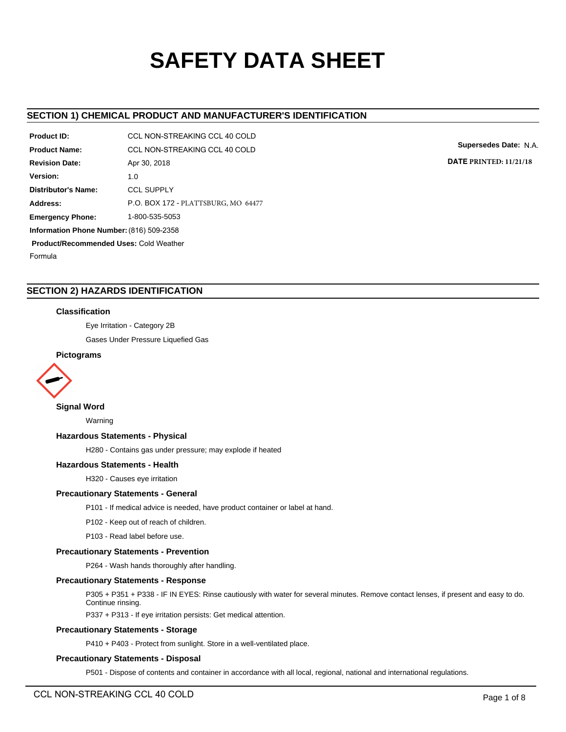# **SAFETY DATA SHEET**

# **SECTION 1) CHEMICAL PRODUCT AND MANUFACTURER'S IDENTIFICATION**

| Product ID:                                   | CCL NON-STREAKING CCL 40 COLD       |  |  |  |
|-----------------------------------------------|-------------------------------------|--|--|--|
| <b>Product Name:</b>                          | CCL NON-STREAKING CCL 40 COLD       |  |  |  |
| <b>Revision Date:</b>                         | Apr 30, 2018                        |  |  |  |
| Version:                                      | 1.0                                 |  |  |  |
| Distributor's Name:                           | <b>CCL SUPPLY</b>                   |  |  |  |
| Address:                                      | P.O. BOX 172 - PLATTSBURG, MO 64477 |  |  |  |
| <b>Emergency Phone:</b>                       | 1-800-535-5053                      |  |  |  |
| Information Phone Number: (816) 509-2358      |                                     |  |  |  |
| <b>Product/Recommended Uses: Cold Weather</b> |                                     |  |  |  |
| Formula                                       |                                     |  |  |  |

**Supersedes Date:** N.A.

**DATE PRINTED: 11/21/18**

# **SECTION 2) HAZARDS IDENTIFICATION**

# **Classification**

Eye Irritation - Category 2B

Gases Under Pressure Liquefied Gas

# **Pictograms**



# **Signal Word**

Warning

# **Hazardous Statements - Physical**

H280 - Contains gas under pressure; may explode if heated

## **Hazardous Statements - Health**

H320 - Causes eye irritation

## **Precautionary Statements - General**

P101 - If medical advice is needed, have product container or label at hand.

P102 - Keep out of reach of children.

P103 - Read label before use.

## **Precautionary Statements - Prevention**

P264 - Wash hands thoroughly after handling.

## **Precautionary Statements - Response**

P305 + P351 + P338 - IF IN EYES: Rinse cautiously with water for several minutes. Remove contact lenses, if present and easy to do. Continue rinsing.

P337 + P313 - If eye irritation persists: Get medical attention.

# **Precautionary Statements - Storage**

P410 + P403 - Protect from sunlight. Store in a well-ventilated place.

## **Precautionary Statements - Disposal**

P501 - Dispose of contents and container in accordance with all local, regional, national and international regulations.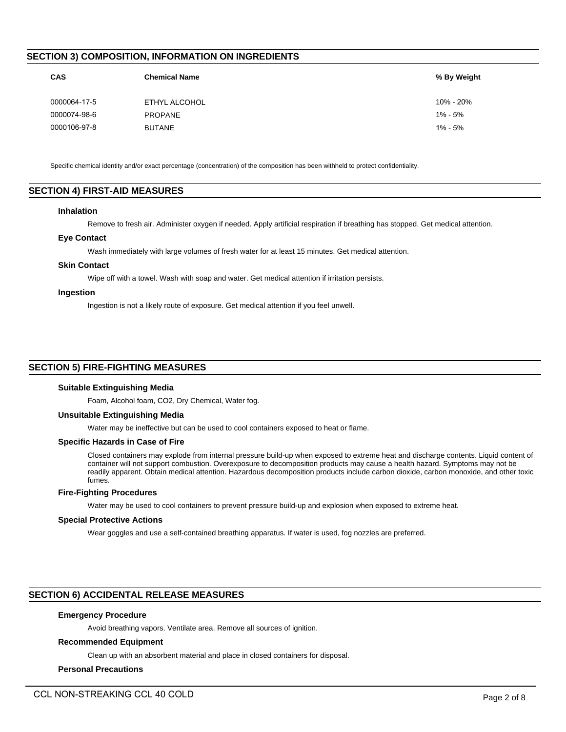# **SECTION 3) COMPOSITION, INFORMATION ON INGREDIENTS**

| <b>CAS</b>   | <b>Chemical Name</b> | % By Weight |
|--------------|----------------------|-------------|
| 0000064-17-5 | ETHYL ALCOHOL        | 10% - 20%   |
| 0000074-98-6 | <b>PROPANE</b>       | $1\% - 5\%$ |
| 0000106-97-8 | <b>BUTANE</b>        | $1\% - 5\%$ |
|              |                      |             |

Specific chemical identity and/or exact percentage (concentration) of the composition has been withheld to protect confidentiality.

# **SECTION 4) FIRST-AID MEASURES**

#### **Inhalation**

Remove to fresh air. Administer oxygen if needed. Apply artificial respiration if breathing has stopped. Get medical attention.

#### **Eye Contact**

Wash immediately with large volumes of fresh water for at least 15 minutes. Get medical attention.

#### **Skin Contact**

Wipe off with a towel. Wash with soap and water. Get medical attention if irritation persists.

#### **Ingestion**

Ingestion is not a likely route of exposure. Get medical attention if you feel unwell.

# **SECTION 5) FIRE-FIGHTING MEASURES**

#### **Suitable Extinguishing Media**

Foam, Alcohol foam, CO2, Dry Chemical, Water fog.

### **Unsuitable Extinguishing Media**

Water may be ineffective but can be used to cool containers exposed to heat or flame.

#### **Specific Hazards in Case of Fire**

Closed containers may explode from internal pressure build-up when exposed to extreme heat and discharge contents. Liquid content of container will not support combustion. Overexposure to decomposition products may cause a health hazard. Symptoms may not be readily apparent. Obtain medical attention. Hazardous decomposition products include carbon dioxide, carbon monoxide, and other toxic fumes.

# **Fire-Fighting Procedures**

Water may be used to cool containers to prevent pressure build-up and explosion when exposed to extreme heat.

#### **Special Protective Actions**

Wear goggles and use a self-contained breathing apparatus. If water is used, fog nozzles are preferred.

# **SECTION 6) ACCIDENTAL RELEASE MEASURES**

# **Emergency Procedure**

Avoid breathing vapors. Ventilate area. Remove all sources of ignition.

#### **Recommended Equipment**

Clean up with an absorbent material and place in closed containers for disposal.

## **Personal Precautions**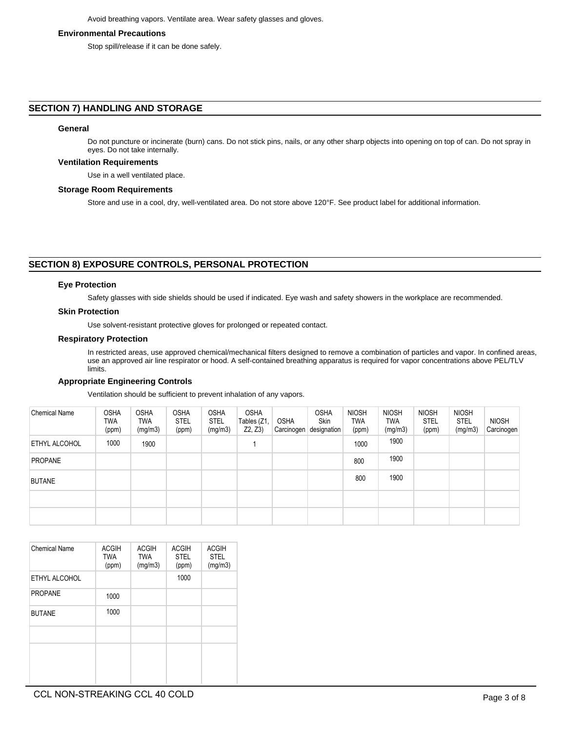# **Environmental Precautions**

Stop spill/release if it can be done safely.

# **SECTION 7) HANDLING AND STORAGE**

#### **General**

Do not puncture or incinerate (burn) cans. Do not stick pins, nails, or any other sharp objects into opening on top of can. Do not spray in eyes. Do not take internally.

## **Ventilation Requirements**

Use in a well ventilated place.

#### **Storage Room Requirements**

Store and use in a cool, dry, well-ventilated area. Do not store above 120°F. See product label for additional information.

# **SECTION 8) EXPOSURE CONTROLS, PERSONAL PROTECTION**

# **Eye Protection**

Safety glasses with side shields should be used if indicated. Eye wash and safety showers in the workplace are recommended.

## **Skin Protection**

Use solvent-resistant protective gloves for prolonged or repeated contact.

#### **Respiratory Protection**

In restricted areas, use approved chemical/mechanical filters designed to remove a combination of particles and vapor. In confined areas, use an approved air line respirator or hood. A self-contained breathing apparatus is required for vapor concentrations above PEL/TLV limits.

# **Appropriate Engineering Controls**

Ventilation should be sufficient to prevent inhalation of any vapors.

| <b>Chemical Name</b> | <b>OSHA</b><br>TWA<br>(ppm) | <b>OSHA</b><br><b>TWA</b><br>(mg/m3) | <b>OSHA</b><br>STEL<br>(ppm) | <b>OSHA</b><br><b>STEL</b><br>(mg/m3) | <b>OSHA</b><br>Tables (Z1,<br>Z2, Z3 | <b>OSHA</b><br>Carcinogen | <b>OSHA</b><br>Skin<br>designation | <b>NIOSH</b><br>TWA<br>(ppm) | <b>NIOSH</b><br>TWA<br>(mg/m3) | <b>NIOSH</b><br><b>STEL</b><br>(ppm) | <b>NIOSH</b><br><b>STEL</b><br>(mg/m3) | <b>NIOSH</b><br>Carcinogen |
|----------------------|-----------------------------|--------------------------------------|------------------------------|---------------------------------------|--------------------------------------|---------------------------|------------------------------------|------------------------------|--------------------------------|--------------------------------------|----------------------------------------|----------------------------|
| ETHYL ALCOHOL        | 1000                        | 1900                                 |                              |                                       |                                      |                           |                                    | 1000                         | 1900                           |                                      |                                        |                            |
| PROPANE              |                             |                                      |                              |                                       |                                      |                           |                                    | 800                          | 1900                           |                                      |                                        |                            |
| <b>BUTANE</b>        |                             |                                      |                              |                                       |                                      |                           |                                    | 800                          | 1900                           |                                      |                                        |                            |
|                      |                             |                                      |                              |                                       |                                      |                           |                                    |                              |                                |                                      |                                        |                            |
|                      |                             |                                      |                              |                                       |                                      |                           |                                    |                              |                                |                                      |                                        |                            |

| <b>Chemical Name</b> | <b>ACGIH</b><br><b>TWA</b><br>(ppm) | <b>ACGIH</b><br><b>TWA</b><br>(mg/m3) | <b>ACGIH</b><br><b>STEL</b><br>(ppm) | <b>ACGIH</b><br><b>STEL</b><br>(mg/m3) |
|----------------------|-------------------------------------|---------------------------------------|--------------------------------------|----------------------------------------|
| ETHYL ALCOHOL        |                                     |                                       | 1000                                 |                                        |
| <b>PROPANE</b>       | 1000                                |                                       |                                      |                                        |
| <b>BUTANE</b>        | 1000                                |                                       |                                      |                                        |
|                      |                                     |                                       |                                      |                                        |
|                      |                                     |                                       |                                      |                                        |
|                      |                                     |                                       |                                      |                                        |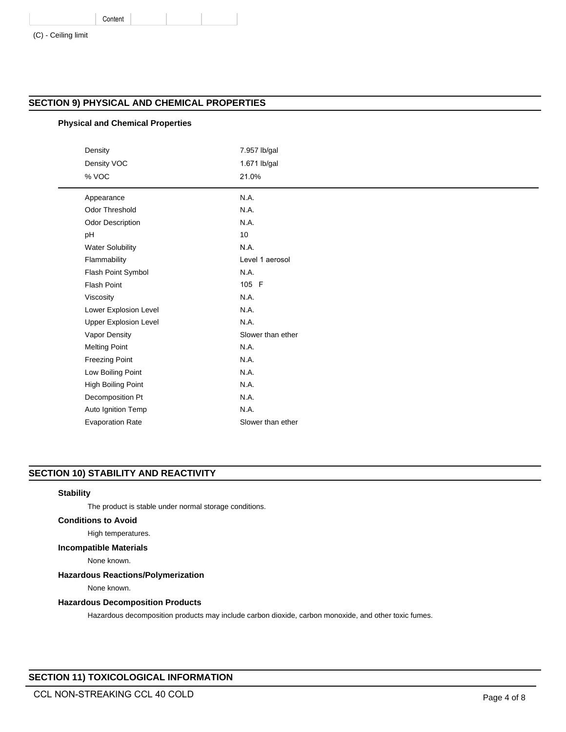|  | (C) - Ceiling limit |  |
|--|---------------------|--|
|  |                     |  |

# **SECTION 9) PHYSICAL AND CHEMICAL PROPERTIES**

# **Physical and Chemical Properties**

Content

| Density<br>Density VOC<br>% VOC | 7.957 lb/gal<br>1.671 lb/gal<br>21.0% |
|---------------------------------|---------------------------------------|
| Appearance                      | N.A.                                  |
| <b>Odor Threshold</b>           | N.A.                                  |
| Odor Description                | N.A.                                  |
| pH                              | 10                                    |
| <b>Water Solubility</b>         | N.A.                                  |
| Flammability                    | Level 1 aerosol                       |
| Flash Point Symbol              | N.A.                                  |
| <b>Flash Point</b>              | 105 F                                 |
| Viscosity                       | N.A.                                  |
| Lower Explosion Level           | N.A.                                  |
| <b>Upper Explosion Level</b>    | N.A.                                  |
| Vapor Density                   | Slower than ether                     |
| <b>Melting Point</b>            | N.A.                                  |
| <b>Freezing Point</b>           | N.A.                                  |
| Low Boiling Point               | N.A.                                  |
| High Boiling Point              | N.A.                                  |
| Decomposition Pt                | N.A.                                  |
| Auto Ignition Temp              | N.A.                                  |
| <b>Evaporation Rate</b>         | Slower than ether                     |

# **SECTION 10) STABILITY AND REACTIVITY**

# **Stability**

The product is stable under normal storage conditions.

# **Conditions to Avoid**

High temperatures.

# **Incompatible Materials**

None known.

# **Hazardous Reactions/Polymerization**

None known.

# **Hazardous Decomposition Products**

Hazardous decomposition products may include carbon dioxide, carbon monoxide, and other toxic fumes.

# **SECTION 11) TOXICOLOGICAL INFORMATION**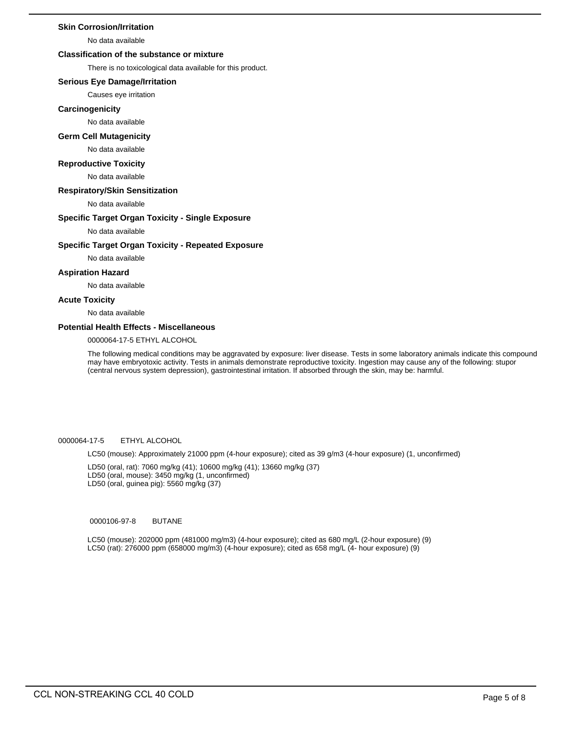## **Skin Corrosion/Irritation**

No data available

# **Classification of the substance or mixture**

There is no toxicological data available for this product.

#### **Serious Eye Damage/Irritation**

Causes eye irritation

#### **Carcinogenicity**

No data available

# **Germ Cell Mutagenicity**

#### No data available

#### **Reproductive Toxicity**

No data available

#### **Respiratory/Skin Sensitization**

No data available

#### **Specific Target Organ Toxicity - Single Exposure**

No data available

#### **Specific Target Organ Toxicity - Repeated Exposure**

No data available

#### **Aspiration Hazard**

No data available

## **Acute Toxicity**

No data available

## **Potential Health Effects - Miscellaneous**

0000064-17-5 ETHYL ALCOHOL

The following medical conditions may be aggravated by exposure: liver disease. Tests in some laboratory animals indicate this compound may have embryotoxic activity. Tests in animals demonstrate reproductive toxicity. Ingestion may cause any of the following: stupor (central nervous system depression), gastrointestinal irritation. If absorbed through the skin, may be: harmful.

## 0000064-17-5 ETHYL ALCOHOL

LC50 (mouse): Approximately 21000 ppm (4-hour exposure); cited as 39 g/m3 (4-hour exposure) (1, unconfirmed)

LD50 (oral, rat): 7060 mg/kg (41); 10600 mg/kg (41); 13660 mg/kg (37)

LD50 (oral, mouse): 3450 mg/kg (1, unconfirmed)

LD50 (oral, guinea pig): 5560 mg/kg (37)

#### 0000106-97-8 BUTANE

LC50 (mouse): 202000 ppm (481000 mg/m3) (4-hour exposure); cited as 680 mg/L (2-hour exposure) (9) LC50 (rat): 276000 ppm (658000 mg/m3) (4-hour exposure); cited as 658 mg/L (4- hour exposure) (9)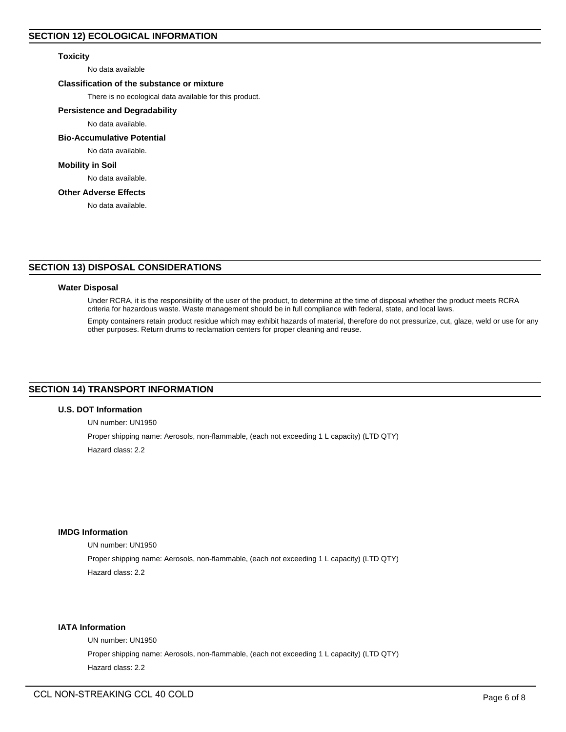# **Toxicity**

No data available

# **Classification of the substance or mixture**

There is no ecological data available for this product.

# **Persistence and Degradability**

No data available.

# **Bio-Accumulative Potential**

No data available.

# **Mobility in Soil**

No data available.

# **Other Adverse Effects**

No data available.

# **SECTION 13) DISPOSAL CONSIDERATIONS**

#### **Water Disposal**

Under RCRA, it is the responsibility of the user of the product, to determine at the time of disposal whether the product meets RCRA criteria for hazardous waste. Waste management should be in full compliance with federal, state, and local laws.

Empty containers retain product residue which may exhibit hazards of material, therefore do not pressurize, cut, glaze, weld or use for any other purposes. Return drums to reclamation centers for proper cleaning and reuse.

# **SECTION 14) TRANSPORT INFORMATION**

#### **U.S. DOT Information**

UN number: UN1950

Proper shipping name: Aerosols, non-flammable, (each not exceeding 1 L capacity) (LTD QTY) Hazard class: 2.2

## **IMDG Information**

UN number: UN1950

Proper shipping name: Aerosols, non-flammable, (each not exceeding 1 L capacity) (LTD QTY) Hazard class: 2.2

# **IATA Information**

UN number: UN1950 Proper shipping name: Aerosols, non-flammable, (each not exceeding 1 L capacity) (LTD QTY) Hazard class: 2.2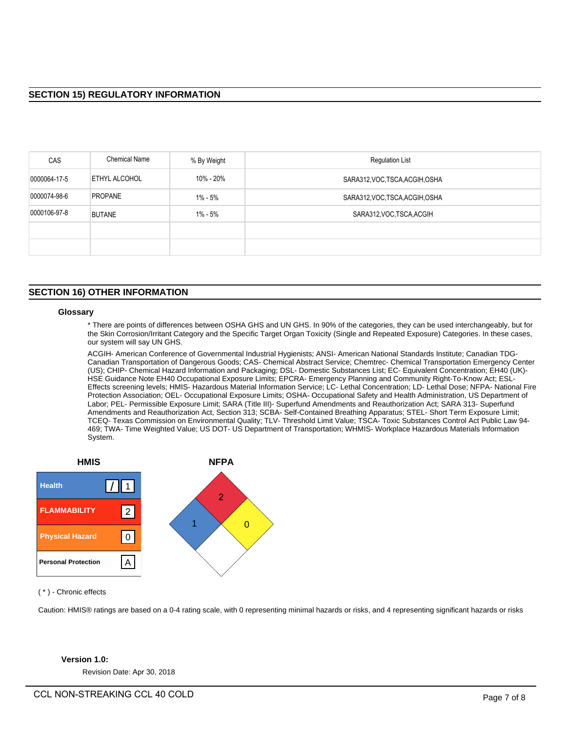| <b>CAS</b>   | <b>Chemical Name</b> | % By Weight | <b>Regulation List</b>          |
|--------------|----------------------|-------------|---------------------------------|
| 0000064-17-5 | ETHYL ALCOHOL        | 10% - 20%   | SARA312, VOC, TSCA, ACGIH, OSHA |
| 0000074-98-6 | <b>PROPANE</b>       | 1% - 5%     | SARA312, VOC, TSCA, ACGIH, OSHA |
| 0000106-97-8 | <b>BUTANE</b>        | 1% - 5%     | SARA312, VOC, TSCA, ACGIH       |
|              |                      |             |                                 |
|              |                      |             |                                 |

# **SECTION 16) OTHER INFORMATION**

#### **Glossary**

\* There are points of differences between OSHA GHS and UN GHS. In 90% of the categories, they can be used interchangeably, but for the Skin Corrosion/Irritant Category and the Specific Target Organ Toxicity (Single and Repeated Exposure) Categories. In these cases, our system will say UN GHS.

ACGIH- American Conference of Governmental Industrial Hygienists; ANSI- American National Standards Institute; Canadian TDG-Canadian Transportation of Dangerous Goods; CAS- Chemical Abstract Service; Chemtrec- Chemical Transportation Emergency Center (US); CHIP- Chemical Hazard Information and Packaging; DSL- Domestic Substances List; EC- Equivalent Concentration; EH40 (UK)- HSE Guidance Note EH40 Occupational Exposure Limits; EPCRA- Emergency Planning and Community Right-To-Know Act; ESL-Effects screening levels; HMIS- Hazardous Material Information Service; LC- Lethal Concentration; LD- Lethal Dose; NFPA- National Fire Protection Association; OEL- Occupational Exposure Limits; OSHA- Occupational Safety and Health Administration, US Department of Labor; PEL- Permissible Exposure Limit; SARA (Title III)- Superfund Amendments and Reauthorization Act; SARA 313- Superfund Amendments and Reauthorization Act, Section 313; SCBA- Self-Contained Breathing Apparatus; STEL- Short Term Exposure Limit; TCEQ- Texas Commission on Environmental Quality; TLV- Threshold Limit Value; TSCA- Toxic Substances Control Act Public Law 94- 469; TWA- Time Weighted Value; US DOT- US Department of Transportation; WHMIS- Workplace Hazardous Materials Information System.



( \* ) - Chronic effects

Caution: HMIS® ratings are based on a 0-4 rating scale, with 0 representing minimal hazards or risks, and 4 representing significant hazards or risks

# **Version 1.0:**

Revision Date: Apr 30, 2018